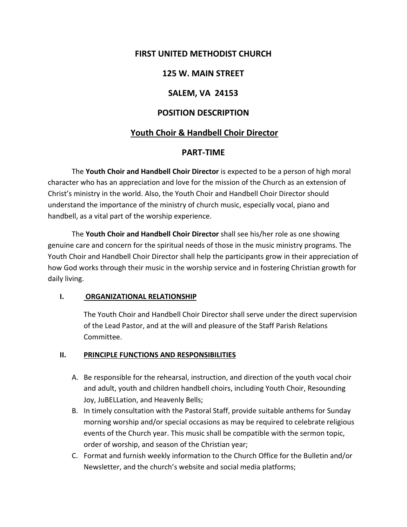# **FIRST UNITED METHODIST CHURCH**

# **125 W. MAIN STREET**

## **SALEM, VA 24153**

### **POSITION DESCRIPTION**

## **Youth Choir & Handbell Choir Director**

### **PART-TIME**

The **Youth Choir and Handbell Choir Director** is expected to be a person of high moral character who has an appreciation and love for the mission of the Church as an extension of Christ's ministry in the world. Also, the Youth Choir and Handbell Choir Director should understand the importance of the ministry of church music, especially vocal, piano and handbell, as a vital part of the worship experience.

The **Youth Choir and Handbell Choir Director** shall see his/her role as one showing genuine care and concern for the spiritual needs of those in the music ministry programs. The Youth Choir and Handbell Choir Director shall help the participants grow in their appreciation of how God works through their music in the worship service and in fostering Christian growth for daily living.

#### **I. ORGANIZATIONAL RELATIONSHIP**

The Youth Choir and Handbell Choir Director shall serve under the direct supervision of the Lead Pastor, and at the will and pleasure of the Staff Parish Relations Committee.

#### **II. PRINCIPLE FUNCTIONS AND RESPONSIBILITIES**

- A. Be responsible for the rehearsal, instruction, and direction of the youth vocal choir and adult, youth and children handbell choirs, including Youth Choir, Resounding Joy, JuBELLation, and Heavenly Bells;
- B. In timely consultation with the Pastoral Staff, provide suitable anthems for Sunday morning worship and/or special occasions as may be required to celebrate religious events of the Church year. This music shall be compatible with the sermon topic, order of worship, and season of the Christian year;
- C. Format and furnish weekly information to the Church Office for the Bulletin and/or Newsletter, and the church's website and social media platforms;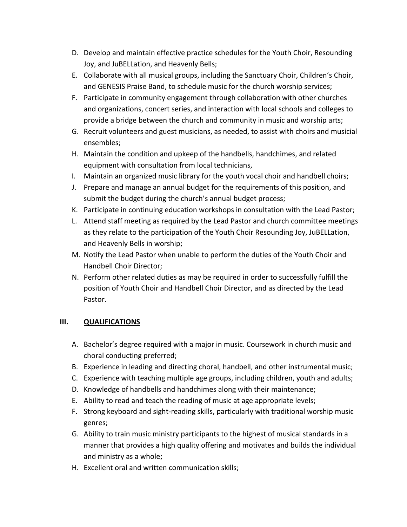- D. Develop and maintain effective practice schedules for the Youth Choir, Resounding Joy, and JuBELLation, and Heavenly Bells;
- E. Collaborate with all musical groups, including the Sanctuary Choir, Children's Choir, and GENESIS Praise Band, to schedule music for the church worship services;
- F. Participate in community engagement through collaboration with other churches and organizations, concert series, and interaction with local schools and colleges to provide a bridge between the church and community in music and worship arts;
- G. Recruit volunteers and guest musicians, as needed, to assist with choirs and musicial ensembles;
- H. Maintain the condition and upkeep of the handbells, handchimes, and related equipment with consultation from local technicians,
- I. Maintain an organized music library for the youth vocal choir and handbell choirs;
- J. Prepare and manage an annual budget for the requirements of this position, and submit the budget during the church's annual budget process;
- K. Participate in continuing education workshops in consultation with the Lead Pastor;
- L. Attend staff meeting as required by the Lead Pastor and church committee meetings as they relate to the participation of the Youth Choir Resounding Joy, JuBELLation, and Heavenly Bells in worship;
- M. Notify the Lead Pastor when unable to perform the duties of the Youth Choir and Handbell Choir Director;
- N. Perform other related duties as may be required in order to successfully fulfill the position of Youth Choir and Handbell Choir Director, and as directed by the Lead Pastor.

### **III. QUALIFICATIONS**

- A. Bachelor's degree required with a major in music. Coursework in church music and choral conducting preferred;
- B. Experience in leading and directing choral, handbell, and other instrumental music;
- C. Experience with teaching multiple age groups, including children, youth and adults;
- D. Knowledge of handbells and handchimes along with their maintenance;
- E. Ability to read and teach the reading of music at age appropriate levels;
- F. Strong keyboard and sight-reading skills, particularly with traditional worship music genres;
- G. Ability to train music ministry participants to the highest of musical standards in a manner that provides a high quality offering and motivates and builds the individual and ministry as a whole;
- H. Excellent oral and written communication skills;